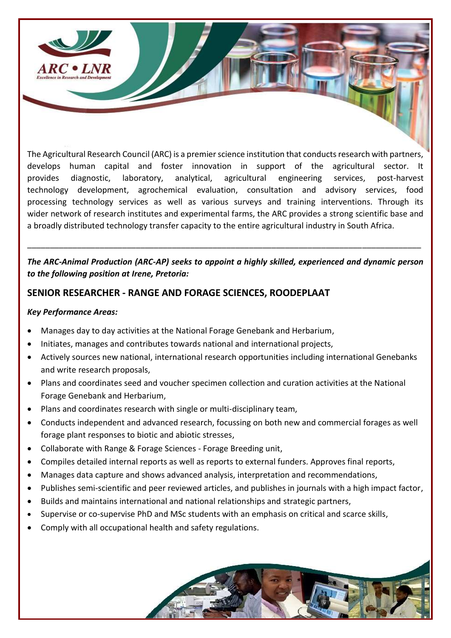

The Agricultural Research Council (ARC) is a premier science institution that conducts research with partners, develops human capital and foster innovation in support of the agricultural sector. It provides diagnostic, laboratory, analytical, agricultural engineering services, post-harvest technology development, agrochemical evaluation, consultation and advisory services, food processing technology services as well as various surveys and training interventions. Through its wider network of research institutes and experimental farms, the ARC provides a strong scientific base and a broadly distributed technology transfer capacity to the entire agricultural industry in South Africa.

### *The ARC-Animal Production (ARC-AP) seeks to appoint a highly skilled, experienced and dynamic person to the following position at Irene, Pretoria:*

\_\_\_\_\_\_\_\_\_\_\_\_\_\_\_\_\_\_\_\_\_\_\_\_\_\_\_\_\_\_\_\_\_\_\_\_\_\_\_\_\_\_\_\_\_\_\_\_\_\_\_\_\_\_\_\_\_\_\_\_\_\_\_\_\_\_\_\_\_\_\_\_\_\_\_\_\_\_\_\_\_\_\_\_\_\_\_

### **SENIOR RESEARCHER - RANGE AND FORAGE SCIENCES, ROODEPLAAT**

#### *Key Performance Areas:*

- Manages day to day activities at the National Forage Genebank and Herbarium,
- Initiates, manages and contributes towards national and international projects,
- Actively sources new national, international research opportunities including international Genebanks and write research proposals,
- Plans and coordinates seed and voucher specimen collection and curation activities at the National Forage Genebank and Herbarium,
- Plans and coordinates research with single or multi-disciplinary team,
- Conducts independent and advanced research, focussing on both new and commercial forages as well forage plant responses to biotic and abiotic stresses,
- Collaborate with Range & Forage Sciences Forage Breeding unit,
- Compiles detailed internal reports as well as reports to external funders. Approves final reports,
- Manages data capture and shows advanced analysis, interpretation and recommendations,
- Publishes semi-scientific and peer reviewed articles, and publishes in journals with a high impact factor,
- Builds and maintains international and national relationships and strategic partners,
- Supervise or co-supervise PhD and MSc students with an emphasis on critical and scarce skills,
- Comply with all occupational health and safety regulations.

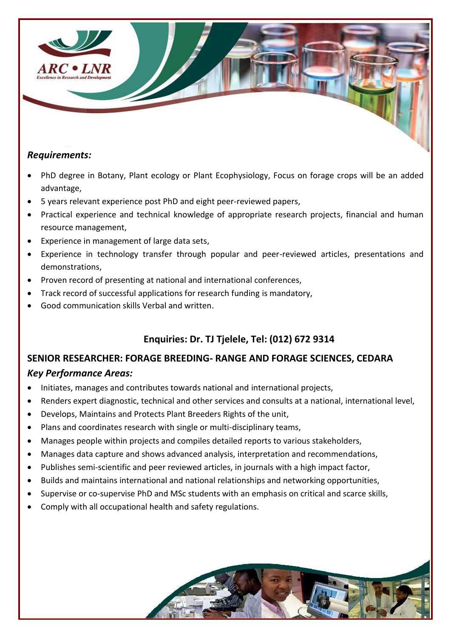

### *Requirements:*

- PhD degree in Botany, Plant ecology or Plant Ecophysiology, Focus on forage crops will be an added advantage,
- 5 years relevant experience post PhD and eight peer-reviewed papers,
- Practical experience and technical knowledge of appropriate research projects, financial and human resource management,
- Experience in management of large data sets,
- Experience in technology transfer through popular and peer-reviewed articles, presentations and demonstrations,
- Proven record of presenting at national and international conferences,
- Track record of successful applications for research funding is mandatory,
- Good communication skills Verbal and written.

# **Enquiries: Dr. TJ Tjelele, Tel: (012) 672 9314**

# **SENIOR RESEARCHER: FORAGE BREEDING- RANGE AND FORAGE SCIENCES, CEDARA**  *Key Performance Areas:*

- Initiates, manages and contributes towards national and international projects,
- Renders expert diagnostic, technical and other services and consults at a national, international level,
- Develops, Maintains and Protects Plant Breeders Rights of the unit,
- Plans and coordinates research with single or multi-disciplinary teams,
- Manages people within projects and compiles detailed reports to various stakeholders,
- Manages data capture and shows advanced analysis, interpretation and recommendations,
- Publishes semi-scientific and peer reviewed articles, in journals with a high impact factor,
- Builds and maintains international and national relationships and networking opportunities,
- Supervise or co-supervise PhD and MSc students with an emphasis on critical and scarce skills,
- Comply with all occupational health and safety regulations.

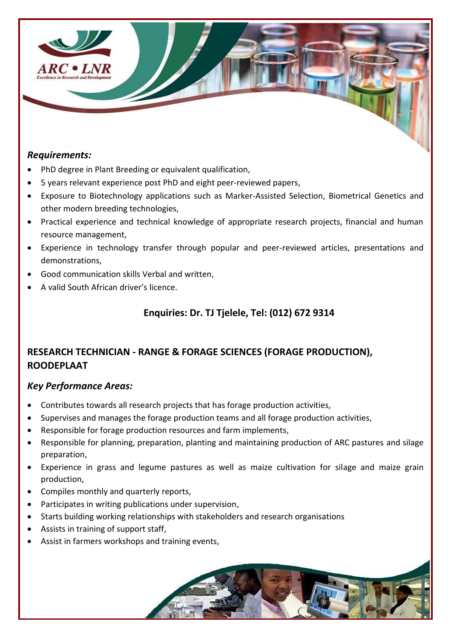

### *Requirements:*

- PhD degree in Plant Breeding or equivalent qualification,
- 5 years relevant experience post PhD and eight peer-reviewed papers,
- Exposure to Biotechnology applications such as Marker-Assisted Selection, Biometrical Genetics and other modern breeding technologies,
- Practical experience and technical knowledge of appropriate research projects, financial and human resource management,
- Experience in technology transfer through popular and peer-reviewed articles, presentations and demonstrations,
- Good communication skills Verbal and written,
- A valid South African driver's licence.

## **Enquiries: Dr. TJ Tjelele, Tel: (012) 672 9314**

# **RESEARCH TECHNICIAN - RANGE & FORAGE SCIENCES (FORAGE PRODUCTION), ROODEPLAAT**

## *Key Performance Areas:*

- Contributes towards all research projects that has forage production activities,
- Supervises and manages the forage production teams and all forage production activities,
- Responsible for forage production resources and farm implements,
- Responsible for planning, preparation, planting and maintaining production of ARC pastures and silage preparation,
- Experience in grass and legume pastures as well as maize cultivation for silage and maize grain production,
- Compiles monthly and quarterly reports,
- Participates in writing publications under supervision,
- Starts building working relationships with stakeholders and research organisations
- Assists in training of support staff,
- Assist in farmers workshops and training events,

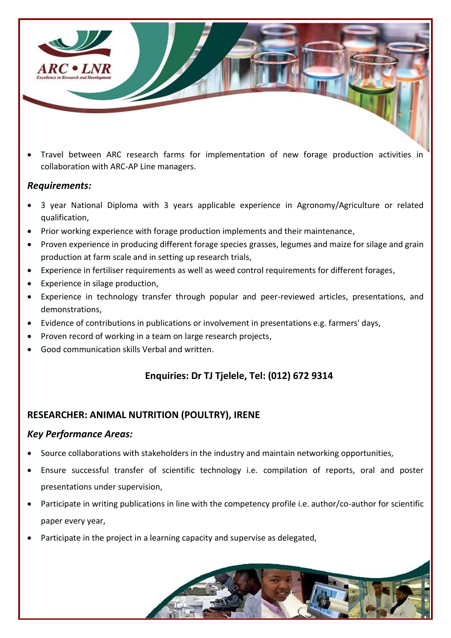

 Travel between ARC research farms for implementation of new forage production activities in collaboration with ARC-AP Line managers.

### *Requirements:*

- 3 year National Diploma with 3 years applicable experience in Agronomy/Agriculture or related qualification,
- Prior working experience with forage production implements and their maintenance,
- Proven experience in producing different forage species grasses, legumes and maize for silage and grain production at farm scale and in setting up research trials,
- Experience in fertiliser requirements as well as weed control requirements for different forages,
- Experience in silage production,
- Experience in technology transfer through popular and peer-reviewed articles, presentations, and demonstrations,
- Evidence of contributions in publications or involvement in presentations e.g. farmers' days,
- Proven record of working in a team on large research projects,
- Good communication skills Verbal and written.

# **Enquiries: Dr TJ Tjelele, Tel: (012) 672 9314**

## **RESEARCHER: ANIMAL NUTRITION (POULTRY), IRENE**

### *Key Performance Areas:*

- Source collaborations with stakeholders in the industry and maintain networking opportunities,
- Ensure successful transfer of scientific technology i.e. compilation of reports, oral and poster presentations under supervision,
- Participate in writing publications in line with the competency profile i.e. author/co-author for scientific paper every year,
- Participate in the project in a learning capacity and supervise as delegated,

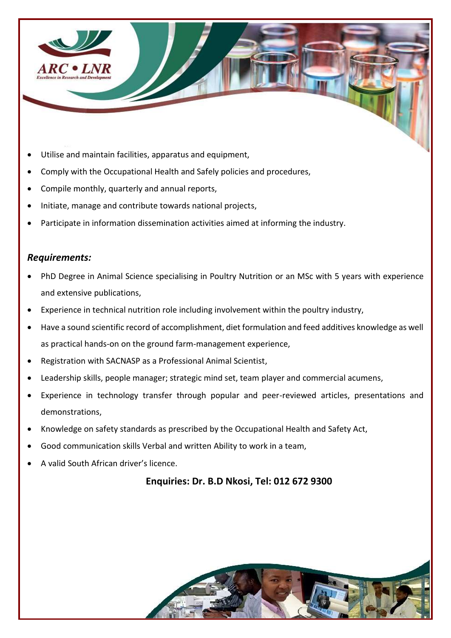

- Utilise and maintain facilities, apparatus and equipment,
- Comply with the Occupational Health and Safely policies and procedures,
- Compile monthly, quarterly and annual reports,
- Initiate, manage and contribute towards national projects,
- Participate in information dissemination activities aimed at informing the industry.

#### *Requirements:*

- PhD Degree in Animal Science specialising in Poultry Nutrition or an MSc with 5 years with experience and extensive publications,
- Experience in technical nutrition role including involvement within the poultry industry,
- Have a sound scientific record of accomplishment, diet formulation and feed additives knowledge as well as practical hands-on on the ground farm-management experience,
- Registration with SACNASP as a Professional Animal Scientist,
- Leadership skills, people manager; strategic mind set, team player and commercial acumens,
- Experience in technology transfer through popular and peer-reviewed articles, presentations and demonstrations,
- Knowledge on safety standards as prescribed by the Occupational Health and Safety Act,
- Good communication skills Verbal and written Ability to work in a team,
- A valid South African driver's licence.

#### **Enquiries: Dr. B.D Nkosi, Tel: 012 672 9300**

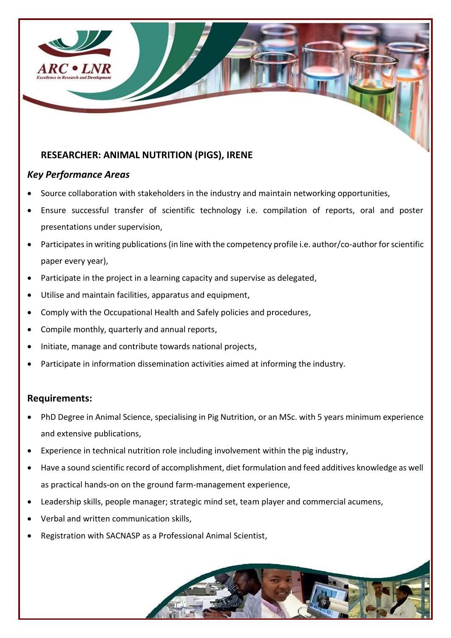

## **RESEARCHER: ANIMAL NUTRITION (PIGS), IRENE**

## *Key Performance Areas*

- Source collaboration with stakeholders in the industry and maintain networking opportunities,
- Ensure successful transfer of scientific technology i.e. compilation of reports, oral and poster presentations under supervision,
- Participates in writing publications (in line with the competency profile i.e. author/co-author for scientific paper every year),
- Participate in the project in a learning capacity and supervise as delegated,
- Utilise and maintain facilities, apparatus and equipment,
- Comply with the Occupational Health and Safely policies and procedures,
- Compile monthly, quarterly and annual reports,
- Initiate, manage and contribute towards national projects,
- Participate in information dissemination activities aimed at informing the industry.

### **Requirements:**

- PhD Degree in Animal Science, specialising in Pig Nutrition, or an MSc. with 5 years minimum experience and extensive publications,
- Experience in technical nutrition role including involvement within the pig industry,
- Have a sound scientific record of accomplishment, diet formulation and feed additives knowledge as well as practical hands-on on the ground farm-management experience,
- Leadership skills, people manager; strategic mind set, team player and commercial acumens,
- Verbal and written communication skills,
- Registration with SACNASP as a Professional Animal Scientist,